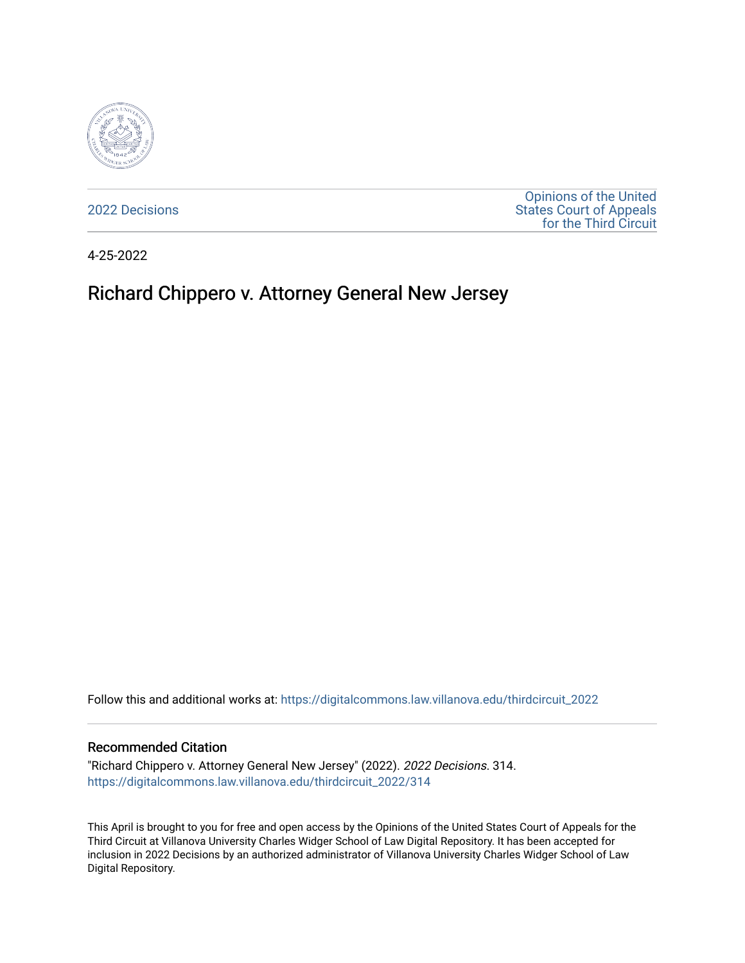

[2022 Decisions](https://digitalcommons.law.villanova.edu/thirdcircuit_2022)

[Opinions of the United](https://digitalcommons.law.villanova.edu/thirdcircuit)  [States Court of Appeals](https://digitalcommons.law.villanova.edu/thirdcircuit)  [for the Third Circuit](https://digitalcommons.law.villanova.edu/thirdcircuit) 

4-25-2022

# Richard Chippero v. Attorney General New Jersey

Follow this and additional works at: [https://digitalcommons.law.villanova.edu/thirdcircuit\\_2022](https://digitalcommons.law.villanova.edu/thirdcircuit_2022?utm_source=digitalcommons.law.villanova.edu%2Fthirdcircuit_2022%2F314&utm_medium=PDF&utm_campaign=PDFCoverPages) 

#### Recommended Citation

"Richard Chippero v. Attorney General New Jersey" (2022). 2022 Decisions. 314. [https://digitalcommons.law.villanova.edu/thirdcircuit\\_2022/314](https://digitalcommons.law.villanova.edu/thirdcircuit_2022/314?utm_source=digitalcommons.law.villanova.edu%2Fthirdcircuit_2022%2F314&utm_medium=PDF&utm_campaign=PDFCoverPages)

This April is brought to you for free and open access by the Opinions of the United States Court of Appeals for the Third Circuit at Villanova University Charles Widger School of Law Digital Repository. It has been accepted for inclusion in 2022 Decisions by an authorized administrator of Villanova University Charles Widger School of Law Digital Repository.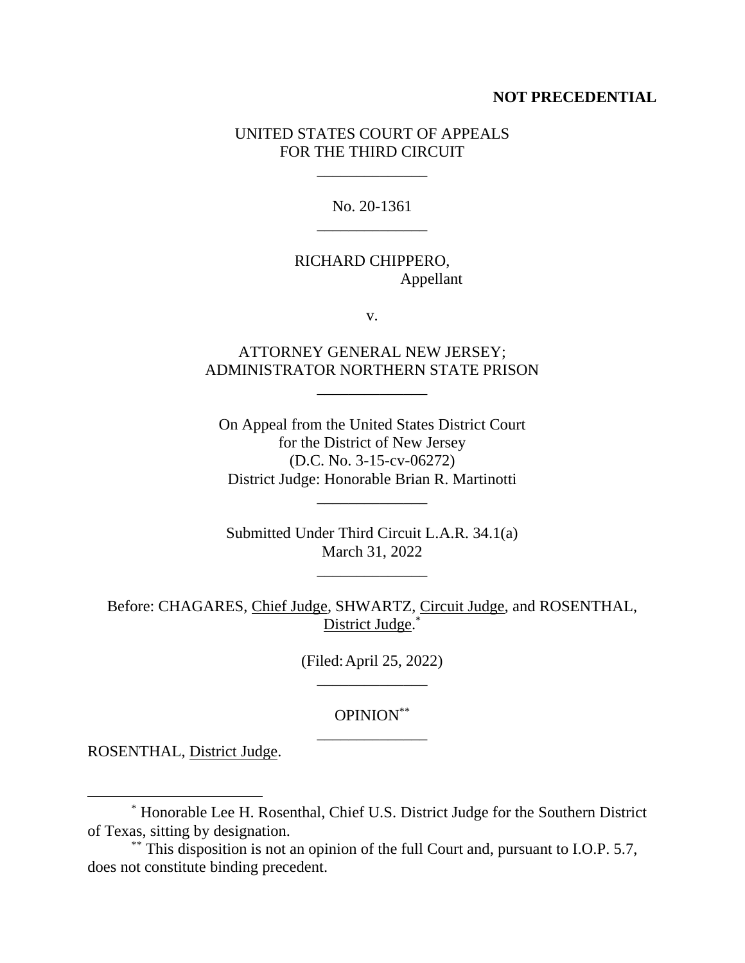#### **NOT PRECEDENTIAL**

### UNITED STATES COURT OF APPEALS FOR THE THIRD CIRCUIT

\_\_\_\_\_\_\_\_\_\_\_\_\_\_

No. 20-1361 \_\_\_\_\_\_\_\_\_\_\_\_\_\_

## RICHARD CHIPPERO, Appellant

v.

# ATTORNEY GENERAL NEW JERSEY; ADMINISTRATOR NORTHERN STATE PRISON

\_\_\_\_\_\_\_\_\_\_\_\_\_\_

On Appeal from the United States District Court for the District of New Jersey (D.C. No. 3-15-cv-06272) District Judge: Honorable Brian R. Martinotti

\_\_\_\_\_\_\_\_\_\_\_\_\_\_

Submitted Under Third Circuit L.A.R. 34.1(a) March 31, 2022

\_\_\_\_\_\_\_\_\_\_\_\_\_\_

Before: CHAGARES, Chief Judge, SHWARTZ, Circuit Judge, and ROSENTHAL, District Judge.\*

> (Filed:April 25, 2022) \_\_\_\_\_\_\_\_\_\_\_\_\_\_

## OPINION\*\* \_\_\_\_\_\_\_\_\_\_\_\_\_\_

ROSENTHAL, District Judge.

<sup>\*</sup> Honorable Lee H. Rosenthal, Chief U.S. District Judge for the Southern District of Texas, sitting by designation.

<sup>\*\*</sup> This disposition is not an opinion of the full Court and, pursuant to I.O.P. 5.7, does not constitute binding precedent.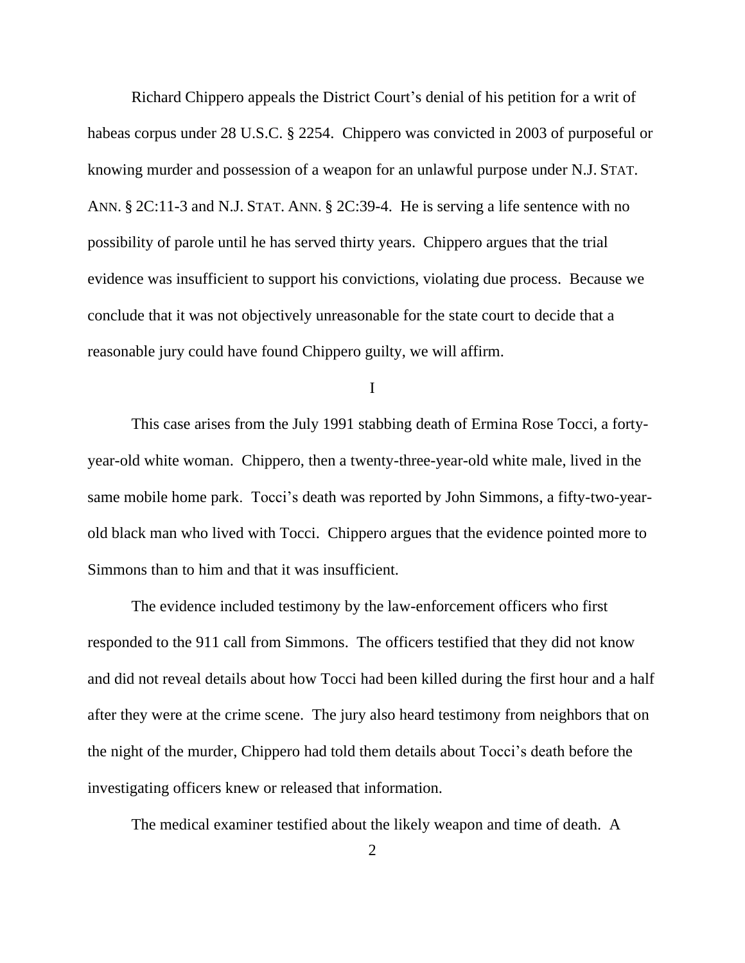Richard Chippero appeals the District Court's denial of his petition for a writ of habeas corpus under 28 U.S.C. § 2254. Chippero was convicted in 2003 of purposeful or knowing murder and possession of a weapon for an unlawful purpose under N.J. STAT. ANN. § 2C:11-3 and N.J. STAT. ANN. § 2C:39-4. He is serving a life sentence with no possibility of parole until he has served thirty years. Chippero argues that the trial evidence was insufficient to support his convictions, violating due process. Because we conclude that it was not objectively unreasonable for the state court to decide that a reasonable jury could have found Chippero guilty, we will affirm.

I

This case arises from the July 1991 stabbing death of Ermina Rose Tocci, a fortyyear-old white woman. Chippero, then a twenty-three-year-old white male, lived in the same mobile home park. Tocci's death was reported by John Simmons, a fifty-two-yearold black man who lived with Tocci. Chippero argues that the evidence pointed more to Simmons than to him and that it was insufficient.

The evidence included testimony by the law-enforcement officers who first responded to the 911 call from Simmons. The officers testified that they did not know and did not reveal details about how Tocci had been killed during the first hour and a half after they were at the crime scene. The jury also heard testimony from neighbors that on the night of the murder, Chippero had told them details about Tocci's death before the investigating officers knew or released that information.

The medical examiner testified about the likely weapon and time of death. A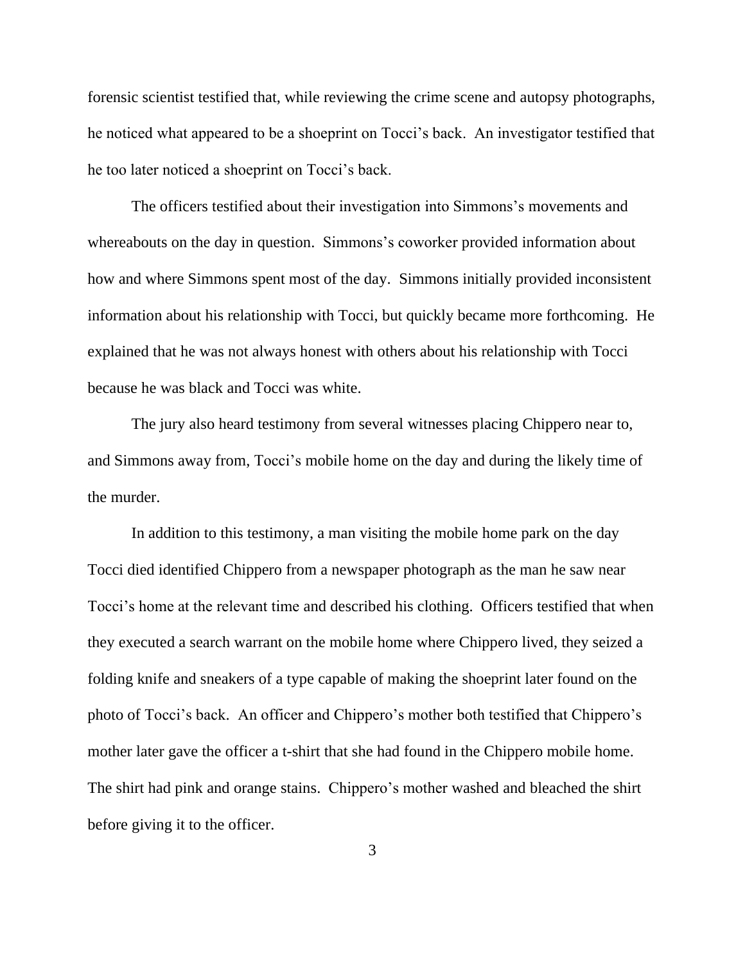forensic scientist testified that, while reviewing the crime scene and autopsy photographs, he noticed what appeared to be a shoeprint on Tocci's back. An investigator testified that he too later noticed a shoeprint on Tocci's back.

The officers testified about their investigation into Simmons's movements and whereabouts on the day in question. Simmons's coworker provided information about how and where Simmons spent most of the day. Simmons initially provided inconsistent information about his relationship with Tocci, but quickly became more forthcoming. He explained that he was not always honest with others about his relationship with Tocci because he was black and Tocci was white.

The jury also heard testimony from several witnesses placing Chippero near to, and Simmons away from, Tocci's mobile home on the day and during the likely time of the murder.

In addition to this testimony, a man visiting the mobile home park on the day Tocci died identified Chippero from a newspaper photograph as the man he saw near Tocci's home at the relevant time and described his clothing. Officers testified that when they executed a search warrant on the mobile home where Chippero lived, they seized a folding knife and sneakers of a type capable of making the shoeprint later found on the photo of Tocci's back. An officer and Chippero's mother both testified that Chippero's mother later gave the officer a t-shirt that she had found in the Chippero mobile home. The shirt had pink and orange stains. Chippero's mother washed and bleached the shirt before giving it to the officer.

3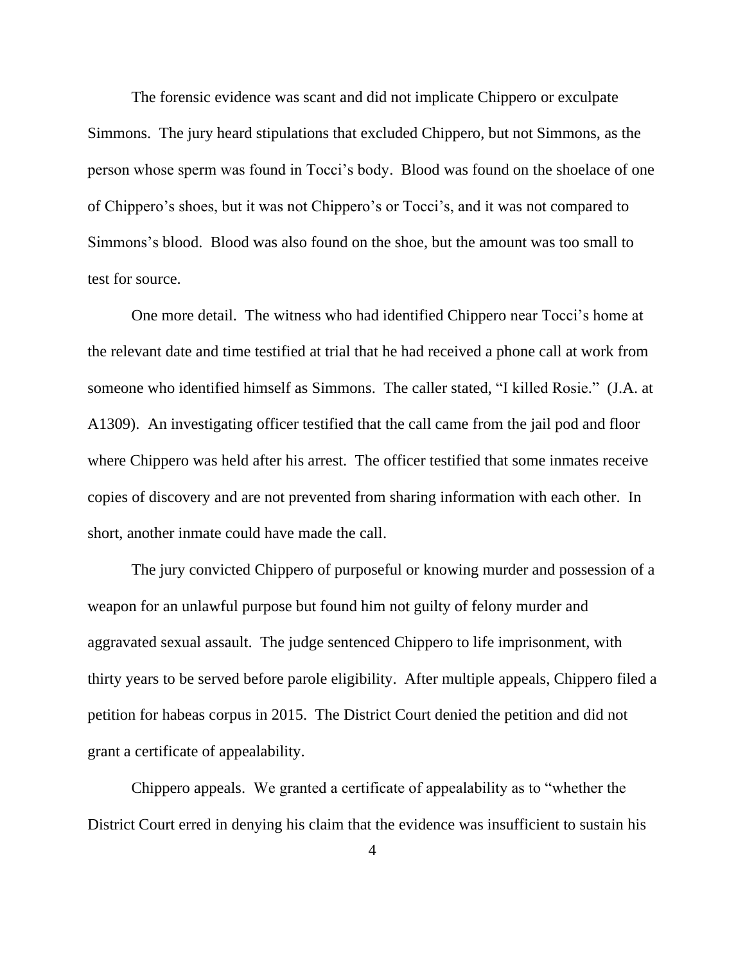The forensic evidence was scant and did not implicate Chippero or exculpate Simmons. The jury heard stipulations that excluded Chippero, but not Simmons, as the person whose sperm was found in Tocci's body. Blood was found on the shoelace of one of Chippero's shoes, but it was not Chippero's or Tocci's, and it was not compared to Simmons's blood. Blood was also found on the shoe, but the amount was too small to test for source.

One more detail. The witness who had identified Chippero near Tocci's home at the relevant date and time testified at trial that he had received a phone call at work from someone who identified himself as Simmons. The caller stated, "I killed Rosie." (J.A. at A1309).An investigating officer testified that the call came from the jail pod and floor where Chippero was held after his arrest. The officer testified that some inmates receive copies of discovery and are not prevented from sharing information with each other. In short, another inmate could have made the call.

The jury convicted Chippero of purposeful or knowing murder and possession of a weapon for an unlawful purpose but found him not guilty of felony murder and aggravated sexual assault. The judge sentenced Chippero to life imprisonment, with thirty years to be served before parole eligibility. After multiple appeals, Chippero filed a petition for habeas corpus in 2015. The District Court denied the petition and did not grant a certificate of appealability.

Chippero appeals. We granted a certificate of appealability as to "whether the District Court erred in denying his claim that the evidence was insufficient to sustain his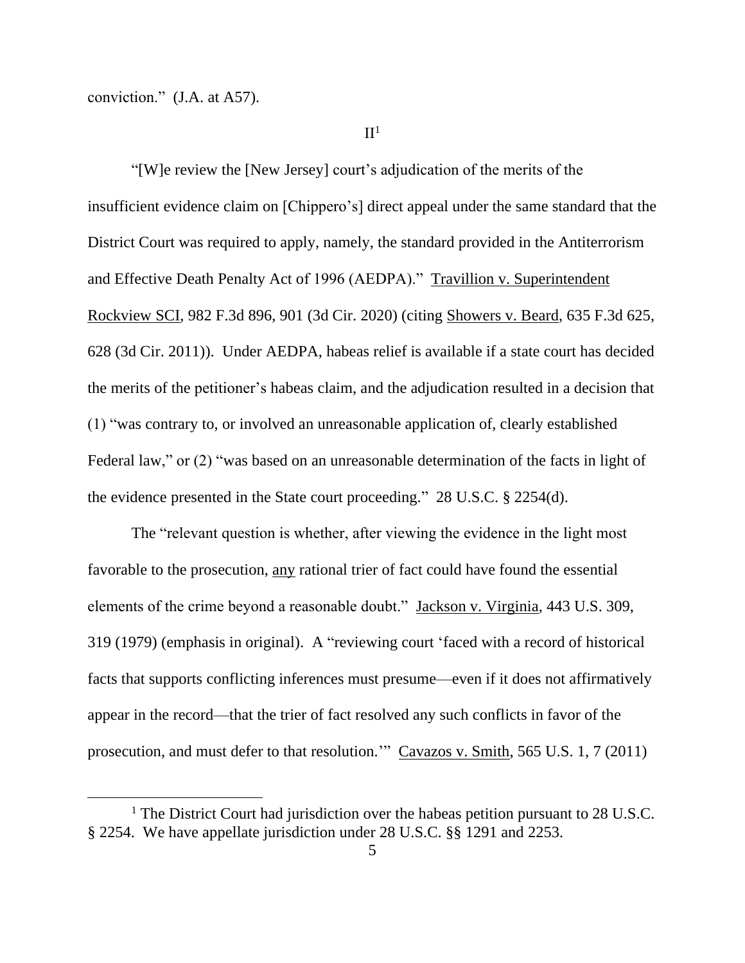conviction." (J.A. at A57).

 $II<sup>1</sup>$ 

"[W]e review the [New Jersey] court's adjudication of the merits of the insufficient evidence claim on [Chippero's] direct appeal under the same standard that the District Court was required to apply, namely, the standard provided in the Antiterrorism and Effective Death Penalty Act of 1996 (AEDPA)." Travillion v. Superintendent Rockview SCI, 982 F.3d 896, 901 (3d Cir. 2020) (citing Showers v. Beard, 635 F.3d 625, 628 (3d Cir. 2011)). Under AEDPA, habeas relief is available if a state court has decided the merits of the petitioner's habeas claim, and the adjudication resulted in a decision that (1) "was contrary to, or involved an unreasonable application of, clearly established Federal law," or (2) "was based on an unreasonable determination of the facts in light of the evidence presented in the State court proceeding." 28 U.S.C. § 2254(d).

The "relevant question is whether, after viewing the evidence in the light most favorable to the prosecution, any rational trier of fact could have found the essential elements of the crime beyond a reasonable doubt." Jackson v. Virginia, 443 U.S. 309, 319 (1979) (emphasis in original). A "reviewing court 'faced with a record of historical facts that supports conflicting inferences must presume—even if it does not affirmatively appear in the record—that the trier of fact resolved any such conflicts in favor of the prosecution, and must defer to that resolution.'" Cavazos v. Smith, 565 U.S. 1, 7 (2011)

<sup>&</sup>lt;sup>1</sup> The District Court had jurisdiction over the habeas petition pursuant to 28 U.S.C. § 2254. We have appellate jurisdiction under 28 U.S.C. §§ 1291 and 2253.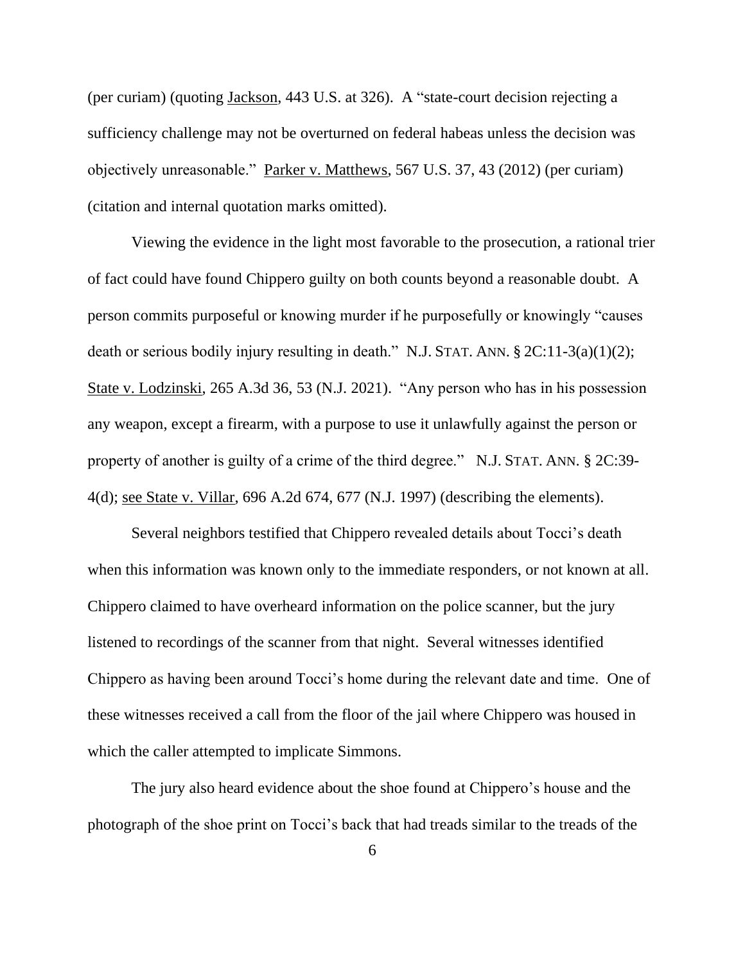(per curiam) (quoting Jackson, 443 U.S. at 326). A "state-court decision rejecting a sufficiency challenge may not be overturned on federal habeas unless the decision was objectively unreasonable." Parker v. Matthews, 567 U.S. 37, 43 (2012) (per curiam) (citation and internal quotation marks omitted).

Viewing the evidence in the light most favorable to the prosecution, a rational trier of fact could have found Chippero guilty on both counts beyond a reasonable doubt. A person commits purposeful or knowing murder if he purposefully or knowingly "causes death or serious bodily injury resulting in death." N.J. STAT. ANN. § 2C:11-3(a)(1)(2); State v. Lodzinski, 265 A.3d 36, 53 (N.J. 2021). "Any person who has in his possession any weapon, except a firearm, with a purpose to use it unlawfully against the person or property of another is guilty of a crime of the third degree." N.J. STAT. ANN. § 2C:39- 4(d); see State v. Villar, 696 A.2d 674, 677 (N.J. 1997) (describing the elements).

Several neighbors testified that Chippero revealed details about Tocci's death when this information was known only to the immediate responders, or not known at all. Chippero claimed to have overheard information on the police scanner, but the jury listened to recordings of the scanner from that night. Several witnesses identified Chippero as having been around Tocci's home during the relevant date and time. One of these witnesses received a call from the floor of the jail where Chippero was housed in which the caller attempted to implicate Simmons.

The jury also heard evidence about the shoe found at Chippero's house and the photograph of the shoe print on Tocci's back that had treads similar to the treads of the